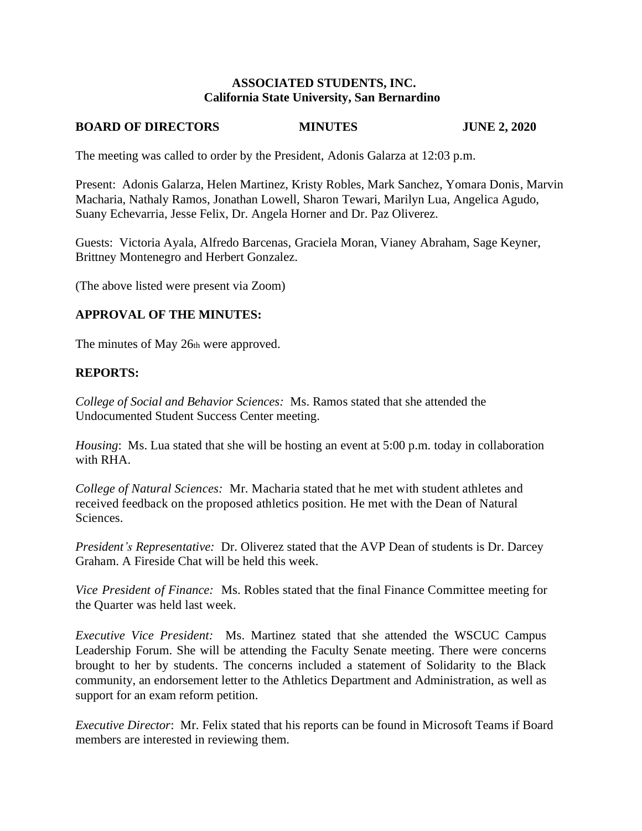### **ASSOCIATED STUDENTS, INC. California State University, San Bernardino**

# **BOARD OF DIRECTORS MINUTES JUNE 2, 2020**

The meeting was called to order by the President, Adonis Galarza at 12:03 p.m.

Present: Adonis Galarza, Helen Martinez, Kristy Robles, Mark Sanchez, Yomara Donis, Marvin Macharia, Nathaly Ramos, Jonathan Lowell, Sharon Tewari, Marilyn Lua, Angelica Agudo, Suany Echevarria, Jesse Felix, Dr. Angela Horner and Dr. Paz Oliverez.

Guests: Victoria Ayala, Alfredo Barcenas, Graciela Moran, Vianey Abraham, Sage Keyner, Brittney Montenegro and Herbert Gonzalez.

(The above listed were present via Zoom)

### **APPROVAL OF THE MINUTES:**

The minutes of May 26th were approved.

### **REPORTS:**

*College of Social and Behavior Sciences:* Ms. Ramos stated that she attended the Undocumented Student Success Center meeting.

*Housing*: Ms. Lua stated that she will be hosting an event at 5:00 p.m. today in collaboration with RHA.

*College of Natural Sciences:* Mr. Macharia stated that he met with student athletes and received feedback on the proposed athletics position. He met with the Dean of Natural Sciences.

*President's Representative:* Dr. Oliverez stated that the AVP Dean of students is Dr. Darcey Graham. A Fireside Chat will be held this week.

*Vice President of Finance:* Ms. Robles stated that the final Finance Committee meeting for the Quarter was held last week.

*Executive Vice President:* Ms. Martinez stated that she attended the WSCUC Campus Leadership Forum. She will be attending the Faculty Senate meeting. There were concerns brought to her by students. The concerns included a statement of Solidarity to the Black community, an endorsement letter to the Athletics Department and Administration, as well as support for an exam reform petition.

*Executive Director*: Mr. Felix stated that his reports can be found in Microsoft Teams if Board members are interested in reviewing them.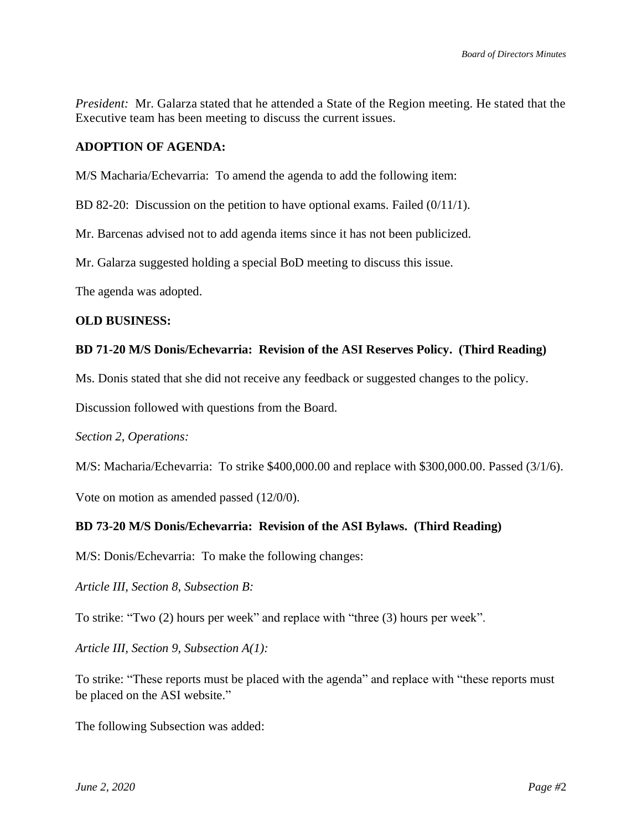*President:* Mr. Galarza stated that he attended a State of the Region meeting. He stated that the Executive team has been meeting to discuss the current issues.

### **ADOPTION OF AGENDA:**

M/S Macharia/Echevarria: To amend the agenda to add the following item:

BD 82-20: Discussion on the petition to have optional exams. Failed (0/11/1).

Mr. Barcenas advised not to add agenda items since it has not been publicized.

Mr. Galarza suggested holding a special BoD meeting to discuss this issue.

The agenda was adopted.

#### **OLD BUSINESS:**

### **BD 71-20 M/S Donis/Echevarria: Revision of the ASI Reserves Policy. (Third Reading)**

Ms. Donis stated that she did not receive any feedback or suggested changes to the policy.

Discussion followed with questions from the Board.

*Section 2, Operations:*

M/S: Macharia/Echevarria: To strike \$400,000.00 and replace with \$300,000.00. Passed (3/1/6).

Vote on motion as amended passed (12/0/0).

### **BD 73-20 M/S Donis/Echevarria: Revision of the ASI Bylaws. (Third Reading)**

M/S: Donis/Echevarria: To make the following changes:

*Article III, Section 8, Subsection B:*

To strike: "Two (2) hours per week" and replace with "three (3) hours per week".

*Article III, Section 9, Subsection A(1):*

To strike: "These reports must be placed with the agenda" and replace with "these reports must be placed on the ASI website."

The following Subsection was added: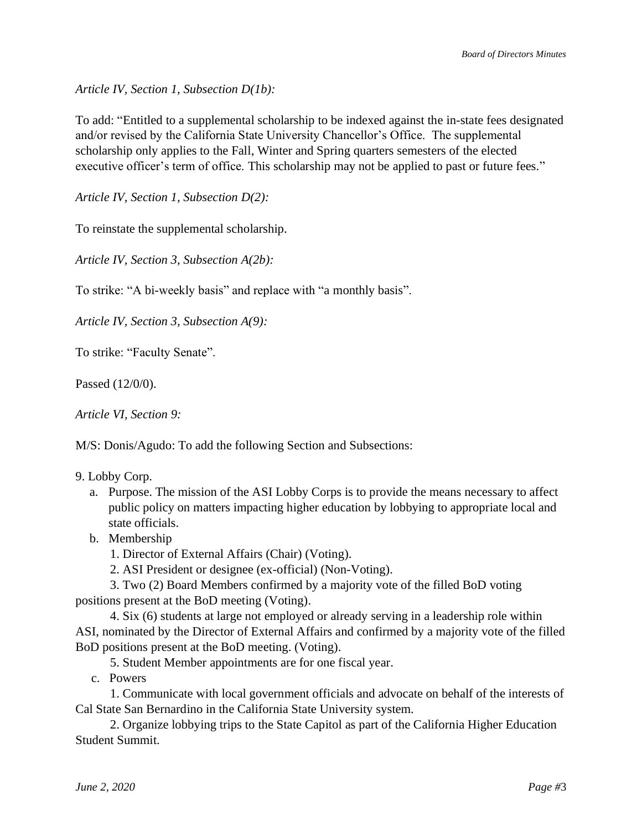*Article IV, Section 1, Subsection D(1b):*

To add: "Entitled to a supplemental scholarship to be indexed against the in-state fees designated and/or revised by the California State University Chancellor's Office. The supplemental scholarship only applies to the Fall, Winter and Spring quarters semesters of the elected executive officer's term of office. This scholarship may not be applied to past or future fees."

*Article IV, Section 1, Subsection D(2):*

To reinstate the supplemental scholarship.

*Article IV, Section 3, Subsection A(2b):*

To strike: "A bi-weekly basis" and replace with "a monthly basis".

*Article IV, Section 3, Subsection A(9):*

To strike: "Faculty Senate".

Passed (12/0/0).

*Article VI, Section 9:*

M/S: Donis/Agudo: To add the following Section and Subsections:

### 9. Lobby Corp.

- a. Purpose. The mission of the ASI Lobby Corps is to provide the means necessary to affect public policy on matters impacting higher education by lobbying to appropriate local and state officials.
- b. Membership
	- 1. Director of External Affairs (Chair) (Voting).
	- 2. ASI President or designee (ex-official) (Non-Voting).

 3. Two (2) Board Members confirmed by a majority vote of the filled BoD voting positions present at the BoD meeting (Voting).

 4. Six (6) students at large not employed or already serving in a leadership role within ASI, nominated by the Director of External Affairs and confirmed by a majority vote of the filled BoD positions present at the BoD meeting. (Voting).

5. Student Member appointments are for one fiscal year.

c. Powers

 1. Communicate with local government officials and advocate on behalf of the interests of Cal State San Bernardino in the California State University system.

 2. Organize lobbying trips to the State Capitol as part of the California Higher Education Student Summit.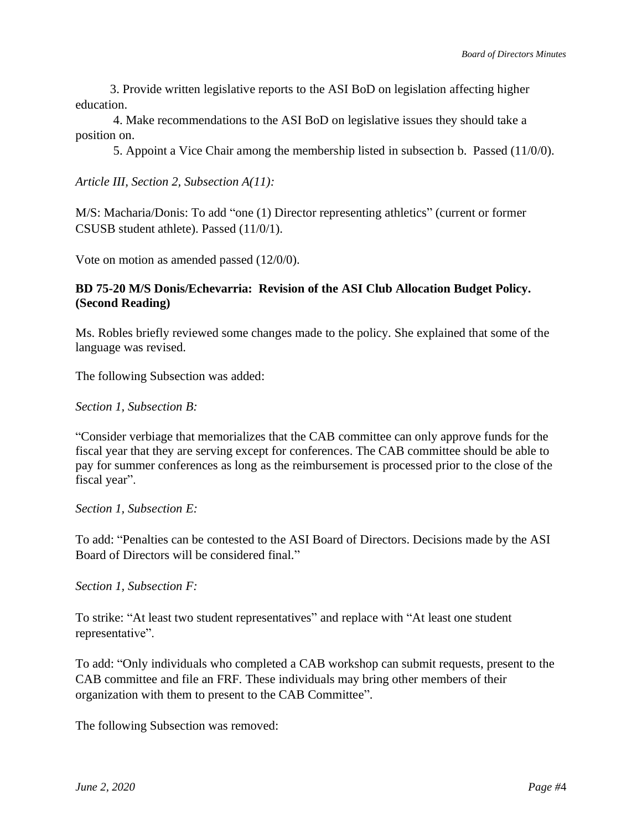3. Provide written legislative reports to the ASI BoD on legislation affecting higher education.

 4. Make recommendations to the ASI BoD on legislative issues they should take a position on.

5. Appoint a Vice Chair among the membership listed in subsection b. Passed (11/0/0).

*Article III, Section 2, Subsection A(11):*

M/S: Macharia/Donis: To add "one (1) Director representing athletics" (current or former CSUSB student athlete). Passed (11/0/1).

Vote on motion as amended passed (12/0/0).

### **BD 75-20 M/S Donis/Echevarria: Revision of the ASI Club Allocation Budget Policy. (Second Reading)**

Ms. Robles briefly reviewed some changes made to the policy. She explained that some of the language was revised.

The following Subsection was added:

*Section 1, Subsection B:*

"Consider verbiage that memorializes that the CAB committee can only approve funds for the fiscal year that they are serving except for conferences. The CAB committee should be able to pay for summer conferences as long as the reimbursement is processed prior to the close of the fiscal year".

*Section 1, Subsection E:*

To add: "Penalties can be contested to the ASI Board of Directors. Decisions made by the ASI Board of Directors will be considered final."

*Section 1, Subsection F:*

To strike: "At least two student representatives" and replace with "At least one student representative".

To add: "Only individuals who completed a CAB workshop can submit requests, present to the CAB committee and file an FRF. These individuals may bring other members of their organization with them to present to the CAB Committee".

The following Subsection was removed: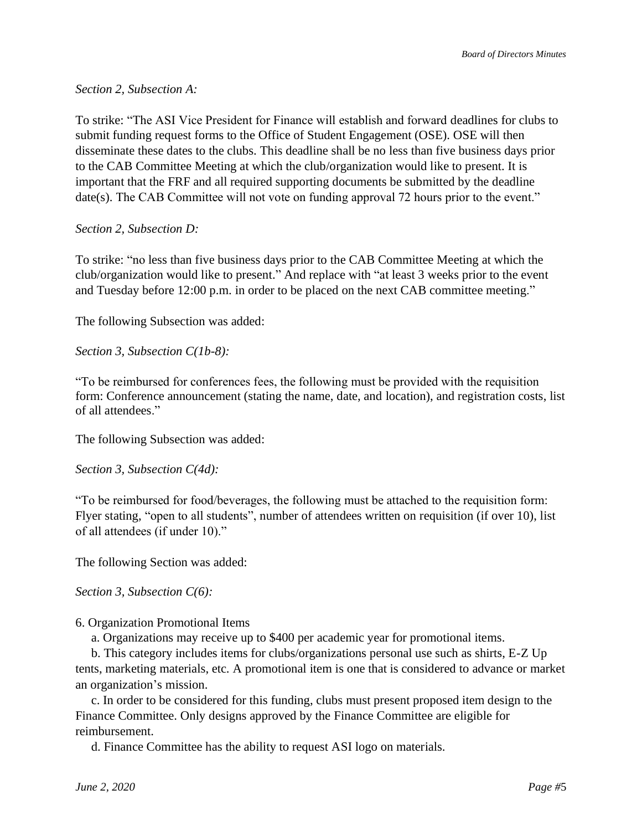## *Section 2, Subsection A:*

To strike: "The ASI Vice President for Finance will establish and forward deadlines for clubs to submit funding request forms to the Office of Student Engagement (OSE). OSE will then disseminate these dates to the clubs. This deadline shall be no less than five business days prior to the CAB Committee Meeting at which the club/organization would like to present. It is important that the FRF and all required supporting documents be submitted by the deadline date(s). The CAB Committee will not vote on funding approval 72 hours prior to the event."

### *Section 2, Subsection D:*

To strike: "no less than five business days prior to the CAB Committee Meeting at which the club/organization would like to present." And replace with "at least 3 weeks prior to the event and Tuesday before 12:00 p.m. in order to be placed on the next CAB committee meeting."

The following Subsection was added:

*Section 3, Subsection C(1b-8):*

"To be reimbursed for conferences fees, the following must be provided with the requisition form: Conference announcement (stating the name, date, and location), and registration costs, list of all attendees."

The following Subsection was added:

*Section 3, Subsection C(4d):*

"To be reimbursed for food/beverages, the following must be attached to the requisition form: Flyer stating, "open to all students", number of attendees written on requisition (if over 10), list of all attendees (if under 10)."

The following Section was added:

*Section 3, Subsection C(6):*

6. Organization Promotional Items

a. Organizations may receive up to \$400 per academic year for promotional items.

 b. This category includes items for clubs/organizations personal use such as shirts, E-Z Up tents, marketing materials, etc. A promotional item is one that is considered to advance or market an organization's mission.

 c. In order to be considered for this funding, clubs must present proposed item design to the Finance Committee. Only designs approved by the Finance Committee are eligible for reimbursement.

d. Finance Committee has the ability to request ASI logo on materials.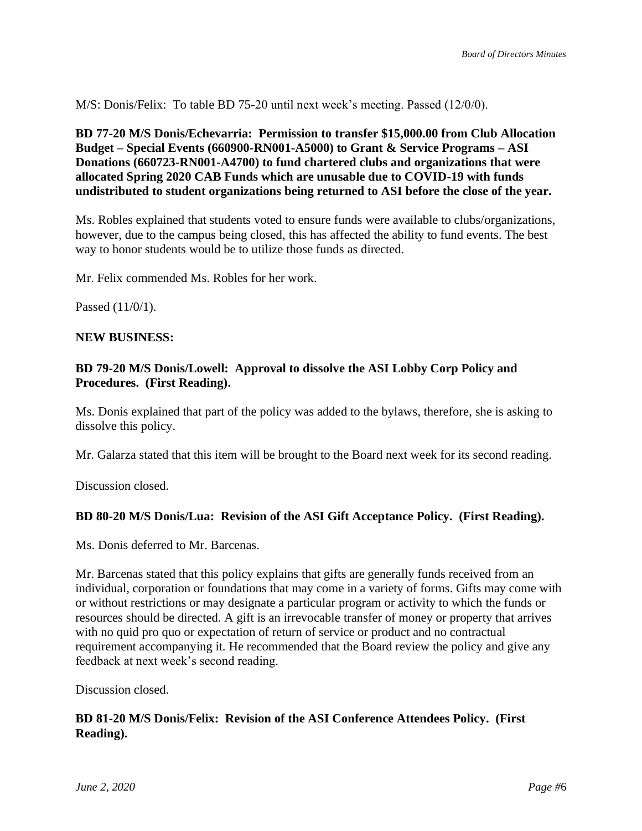M/S: Donis/Felix: To table BD 75-20 until next week's meeting. Passed (12/0/0).

## **BD 77-20 M/S Donis/Echevarria: Permission to transfer \$15,000.00 from Club Allocation Budget – Special Events (660900-RN001-A5000) to Grant & Service Programs – ASI Donations (660723-RN001-A4700) to fund chartered clubs and organizations that were allocated Spring 2020 CAB Funds which are unusable due to COVID-19 with funds undistributed to student organizations being returned to ASI before the close of the year.**

Ms. Robles explained that students voted to ensure funds were available to clubs/organizations, however, due to the campus being closed, this has affected the ability to fund events. The best way to honor students would be to utilize those funds as directed.

Mr. Felix commended Ms. Robles for her work.

Passed (11/0/1).

### **NEW BUSINESS:**

### **BD 79-20 M/S Donis/Lowell: Approval to dissolve the ASI Lobby Corp Policy and Procedures. (First Reading).**

Ms. Donis explained that part of the policy was added to the bylaws, therefore, she is asking to dissolve this policy.

Mr. Galarza stated that this item will be brought to the Board next week for its second reading.

Discussion closed.

### **BD 80-20 M/S Donis/Lua: Revision of the ASI Gift Acceptance Policy. (First Reading).**

Ms. Donis deferred to Mr. Barcenas.

Mr. Barcenas stated that this policy explains that gifts are generally funds received from an individual, corporation or foundations that may come in a variety of forms. Gifts may come with or without restrictions or may designate a particular program or activity to which the funds or resources should be directed. A gift is an irrevocable transfer of money or property that arrives with no quid pro quo or expectation of return of service or product and no contractual requirement accompanying it. He recommended that the Board review the policy and give any feedback at next week's second reading.

Discussion closed.

### **BD 81-20 M/S Donis/Felix: Revision of the ASI Conference Attendees Policy. (First Reading).**